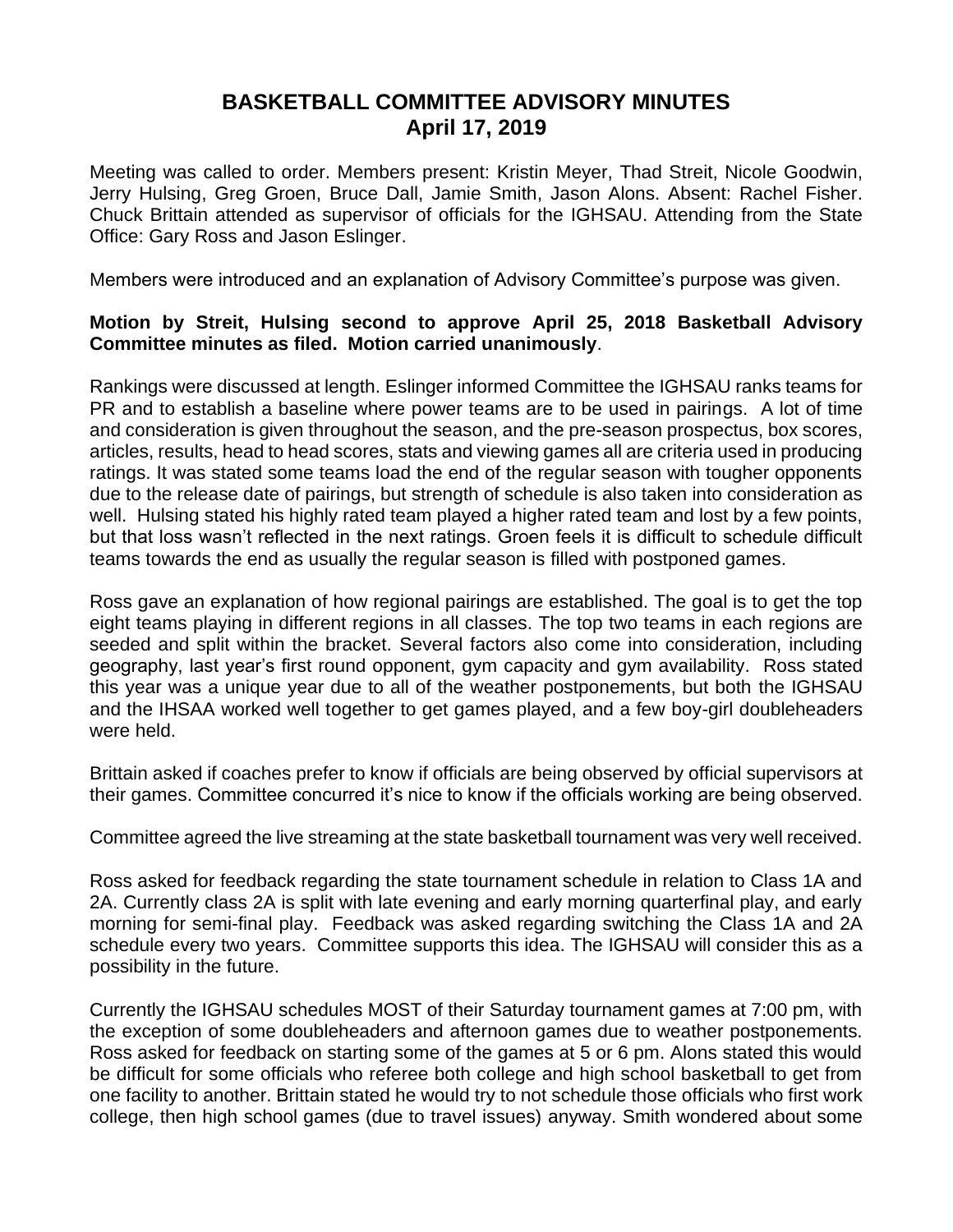## **BASKETBALL COMMITTEE ADVISORY MINUTES April 17, 2019**

Meeting was called to order. Members present: Kristin Meyer, Thad Streit, Nicole Goodwin, Jerry Hulsing, Greg Groen, Bruce Dall, Jamie Smith, Jason Alons. Absent: Rachel Fisher. Chuck Brittain attended as supervisor of officials for the IGHSAU. Attending from the State Office: Gary Ross and Jason Eslinger.

Members were introduced and an explanation of Advisory Committee's purpose was given.

## **Motion by Streit, Hulsing second to approve April 25, 2018 Basketball Advisory Committee minutes as filed. Motion carried unanimously**.

Rankings were discussed at length. Eslinger informed Committee the IGHSAU ranks teams for PR and to establish a baseline where power teams are to be used in pairings. A lot of time and consideration is given throughout the season, and the pre-season prospectus, box scores, articles, results, head to head scores, stats and viewing games all are criteria used in producing ratings. It was stated some teams load the end of the regular season with tougher opponents due to the release date of pairings, but strength of schedule is also taken into consideration as well. Hulsing stated his highly rated team played a higher rated team and lost by a few points, but that loss wasn't reflected in the next ratings. Groen feels it is difficult to schedule difficult teams towards the end as usually the regular season is filled with postponed games.

Ross gave an explanation of how regional pairings are established. The goal is to get the top eight teams playing in different regions in all classes. The top two teams in each regions are seeded and split within the bracket. Several factors also come into consideration, including geography, last year's first round opponent, gym capacity and gym availability. Ross stated this year was a unique year due to all of the weather postponements, but both the IGHSAU and the IHSAA worked well together to get games played, and a few boy-girl doubleheaders were held.

Brittain asked if coaches prefer to know if officials are being observed by official supervisors at their games. Committee concurred it's nice to know if the officials working are being observed.

Committee agreed the live streaming at the state basketball tournament was very well received.

Ross asked for feedback regarding the state tournament schedule in relation to Class 1A and 2A. Currently class 2A is split with late evening and early morning quarterfinal play, and early morning for semi-final play. Feedback was asked regarding switching the Class 1A and 2A schedule every two years. Committee supports this idea. The IGHSAU will consider this as a possibility in the future.

Currently the IGHSAU schedules MOST of their Saturday tournament games at 7:00 pm, with the exception of some doubleheaders and afternoon games due to weather postponements. Ross asked for feedback on starting some of the games at 5 or 6 pm. Alons stated this would be difficult for some officials who referee both college and high school basketball to get from one facility to another. Brittain stated he would try to not schedule those officials who first work college, then high school games (due to travel issues) anyway. Smith wondered about some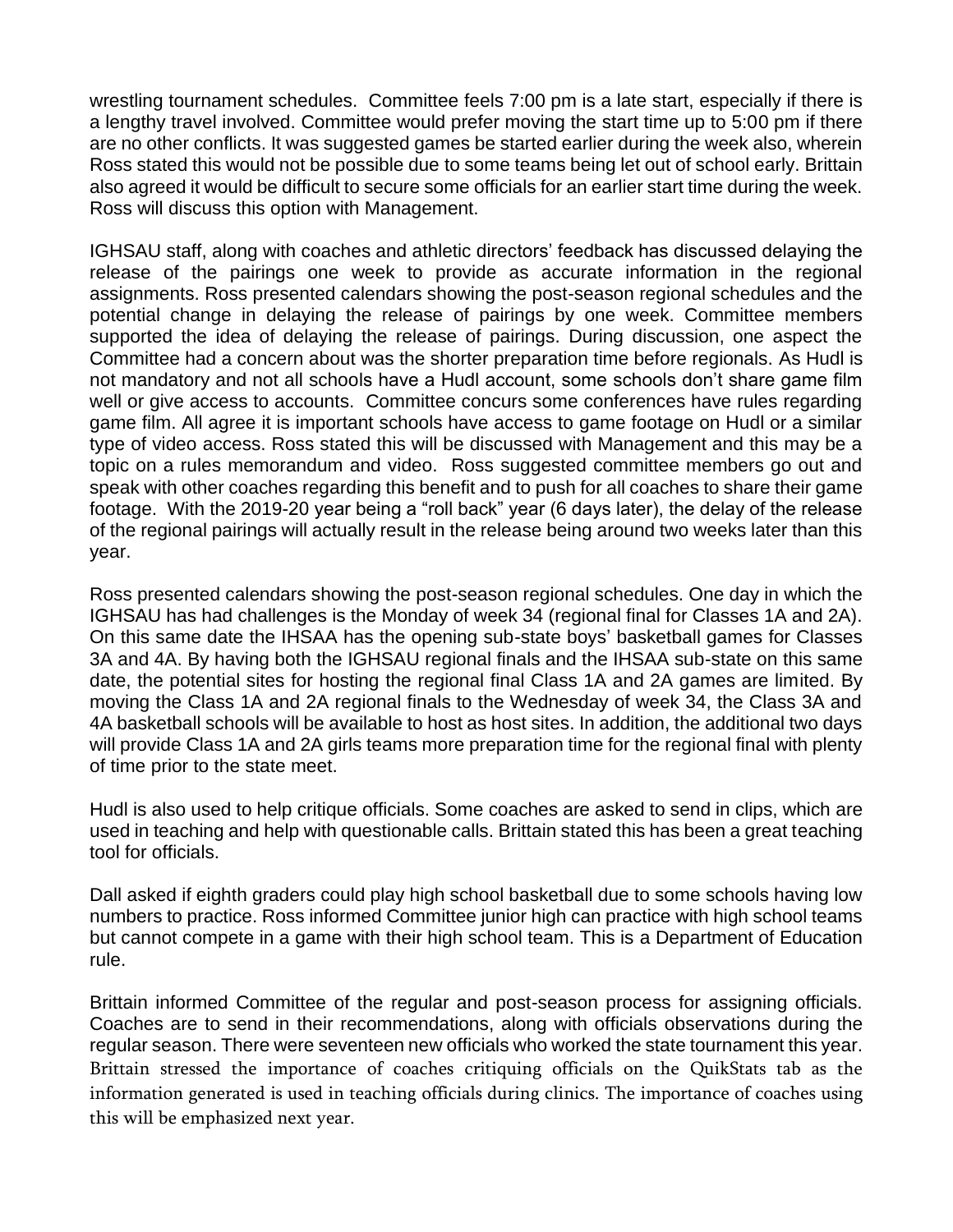wrestling tournament schedules. Committee feels 7:00 pm is a late start, especially if there is a lengthy travel involved. Committee would prefer moving the start time up to 5:00 pm if there are no other conflicts. It was suggested games be started earlier during the week also, wherein Ross stated this would not be possible due to some teams being let out of school early. Brittain also agreed it would be difficult to secure some officials for an earlier start time during the week. Ross will discuss this option with Management.

IGHSAU staff, along with coaches and athletic directors' feedback has discussed delaying the release of the pairings one week to provide as accurate information in the regional assignments. Ross presented calendars showing the post-season regional schedules and the potential change in delaying the release of pairings by one week. Committee members supported the idea of delaying the release of pairings. During discussion, one aspect the Committee had a concern about was the shorter preparation time before regionals. As Hudl is not mandatory and not all schools have a Hudl account, some schools don't share game film well or give access to accounts. Committee concurs some conferences have rules regarding game film. All agree it is important schools have access to game footage on Hudl or a similar type of video access. Ross stated this will be discussed with Management and this may be a topic on a rules memorandum and video. Ross suggested committee members go out and speak with other coaches regarding this benefit and to push for all coaches to share their game footage. With the 2019-20 year being a "roll back" year (6 days later), the delay of the release of the regional pairings will actually result in the release being around two weeks later than this year.

Ross presented calendars showing the post-season regional schedules. One day in which the IGHSAU has had challenges is the Monday of week 34 (regional final for Classes 1A and 2A). On this same date the IHSAA has the opening sub-state boys' basketball games for Classes 3A and 4A. By having both the IGHSAU regional finals and the IHSAA sub-state on this same date, the potential sites for hosting the regional final Class 1A and 2A games are limited. By moving the Class 1A and 2A regional finals to the Wednesday of week 34, the Class 3A and 4A basketball schools will be available to host as host sites. In addition, the additional two days will provide Class 1A and 2A girls teams more preparation time for the regional final with plenty of time prior to the state meet.

Hudl is also used to help critique officials. Some coaches are asked to send in clips, which are used in teaching and help with questionable calls. Brittain stated this has been a great teaching tool for officials.

Dall asked if eighth graders could play high school basketball due to some schools having low numbers to practice. Ross informed Committee junior high can practice with high school teams but cannot compete in a game with their high school team. This is a Department of Education rule.

Brittain informed Committee of the regular and post-season process for assigning officials. Coaches are to send in their recommendations, along with officials observations during the regular season. There were seventeen new officials who worked the state tournament this year. Brittain stressed the importance of coaches critiquing officials on the QuikStats tab as the information generated is used in teaching officials during clinics. The importance of coaches using this will be emphasized next year.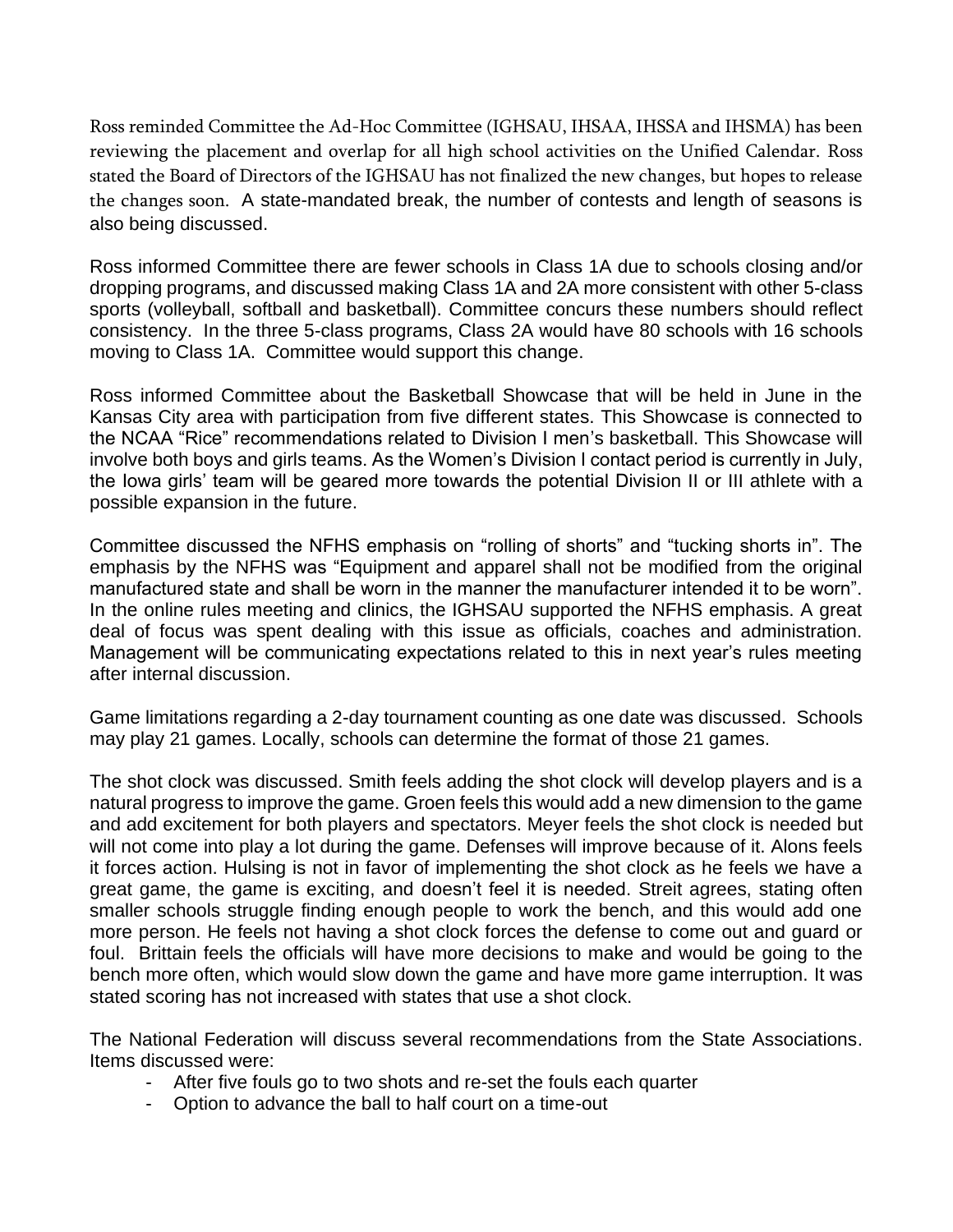Ross reminded Committee the Ad-Hoc Committee (IGHSAU, IHSAA, IHSSA and IHSMA) has been reviewing the placement and overlap for all high school activities on the Unified Calendar. Ross stated the Board of Directors of the IGHSAU has not finalized the new changes, but hopes to release the changes soon. A state-mandated break, the number of contests and length of seasons is also being discussed.

Ross informed Committee there are fewer schools in Class 1A due to schools closing and/or dropping programs, and discussed making Class 1A and 2A more consistent with other 5-class sports (volleyball, softball and basketball). Committee concurs these numbers should reflect consistency. In the three 5-class programs, Class 2A would have 80 schools with 16 schools moving to Class 1A. Committee would support this change.

Ross informed Committee about the Basketball Showcase that will be held in June in the Kansas City area with participation from five different states. This Showcase is connected to the NCAA "Rice" recommendations related to Division I men's basketball. This Showcase will involve both boys and girls teams. As the Women's Division I contact period is currently in July, the Iowa girls' team will be geared more towards the potential Division II or III athlete with a possible expansion in the future.

Committee discussed the NFHS emphasis on "rolling of shorts" and "tucking shorts in". The emphasis by the NFHS was "Equipment and apparel shall not be modified from the original manufactured state and shall be worn in the manner the manufacturer intended it to be worn". In the online rules meeting and clinics, the IGHSAU supported the NFHS emphasis. A great deal of focus was spent dealing with this issue as officials, coaches and administration. Management will be communicating expectations related to this in next year's rules meeting after internal discussion.

Game limitations regarding a 2-day tournament counting as one date was discussed. Schools may play 21 games. Locally, schools can determine the format of those 21 games.

The shot clock was discussed. Smith feels adding the shot clock will develop players and is a natural progress to improve the game. Groen feels this would add a new dimension to the game and add excitement for both players and spectators. Meyer feels the shot clock is needed but will not come into play a lot during the game. Defenses will improve because of it. Alons feels it forces action. Hulsing is not in favor of implementing the shot clock as he feels we have a great game, the game is exciting, and doesn't feel it is needed. Streit agrees, stating often smaller schools struggle finding enough people to work the bench, and this would add one more person. He feels not having a shot clock forces the defense to come out and guard or foul. Brittain feels the officials will have more decisions to make and would be going to the bench more often, which would slow down the game and have more game interruption. It was stated scoring has not increased with states that use a shot clock.

The National Federation will discuss several recommendations from the State Associations. Items discussed were:

- After five fouls go to two shots and re-set the fouls each quarter
- Option to advance the ball to half court on a time-out